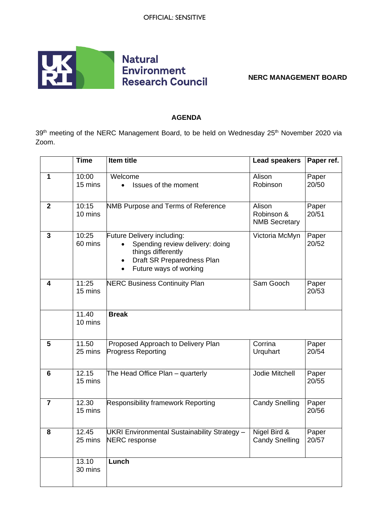

**NERC MANAGEMENT BOARD**

## **AGENDA**

39<sup>th</sup> meeting of the NERC Management Board, to be held on Wednesday 25<sup>th</sup> November 2020 via Zoom.

|                | <b>Time</b>      | Item title                                                                                                                                  | <b>Lead speakers</b>                         | Paper ref.     |
|----------------|------------------|---------------------------------------------------------------------------------------------------------------------------------------------|----------------------------------------------|----------------|
| 1              | 10:00<br>15 mins | Welcome<br>Issues of the moment<br>$\bullet$                                                                                                | Alison<br>Robinson                           | Paper<br>20/50 |
| $\mathbf{2}$   | 10:15<br>10 mins | NMB Purpose and Terms of Reference                                                                                                          | Alison<br>Robinson &<br><b>NMB Secretary</b> | Paper<br>20/51 |
| 3              | 10:25<br>60 mins | Future Delivery including:<br>Spending review delivery: doing<br>things differently<br>Draft SR Preparedness Plan<br>Future ways of working | Victoria McMyn                               | Paper<br>20/52 |
| 4              | 11:25<br>15 mins | <b>NERC Business Continuity Plan</b>                                                                                                        | Sam Gooch                                    | Paper<br>20/53 |
|                | 11.40<br>10 mins | <b>Break</b>                                                                                                                                |                                              |                |
| 5              | 11.50<br>25 mins | Proposed Approach to Delivery Plan<br><b>Progress Reporting</b>                                                                             | Corrina<br>Urquhart                          | Paper<br>20/54 |
| 6              | 12.15<br>15 mins | The Head Office Plan - quarterly                                                                                                            | Jodie Mitchell                               | Paper<br>20/55 |
| $\overline{7}$ | 12.30<br>15 mins | <b>Responsibility framework Reporting</b>                                                                                                   | <b>Candy Snelling</b>                        | Paper<br>20/56 |
| 8              | 12.45<br>25 mins | UKRI Environmental Sustainability Strategy -<br><b>NERC</b> response                                                                        | Nigel Bird &<br><b>Candy Snelling</b>        | Paper<br>20/57 |
|                | 13.10<br>30 mins | Lunch                                                                                                                                       |                                              |                |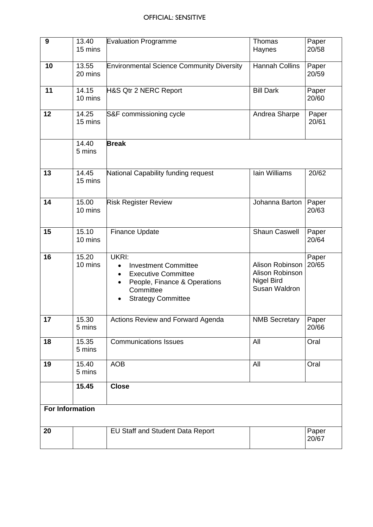| $\boldsymbol{9}$       | 13.40<br>15 mins | <b>Evaluation Programme</b>                                                                                                                       | Thomas<br>Haynes                                                  | Paper<br>20/58 |  |  |
|------------------------|------------------|---------------------------------------------------------------------------------------------------------------------------------------------------|-------------------------------------------------------------------|----------------|--|--|
|                        |                  |                                                                                                                                                   |                                                                   |                |  |  |
| 10                     | 13.55<br>20 mins | <b>Environmental Science Community Diversity</b>                                                                                                  | <b>Hannah Collins</b>                                             | Paper<br>20/59 |  |  |
| 11                     | 14.15<br>10 mins | <b>H&amp;S Qtr 2 NERC Report</b>                                                                                                                  | <b>Bill Dark</b>                                                  | Paper<br>20/60 |  |  |
| 12                     | 14.25<br>15 mins | S&F commissioning cycle                                                                                                                           | Andrea Sharpe                                                     | Paper<br>20/61 |  |  |
|                        | 14.40<br>5 mins  | <b>Break</b>                                                                                                                                      |                                                                   |                |  |  |
| 13                     | 14.45<br>15 mins | National Capability funding request                                                                                                               | Iain Williams                                                     | 20/62          |  |  |
| 14                     | 15.00<br>10 mins | <b>Risk Register Review</b>                                                                                                                       | Johanna Barton                                                    | Paper<br>20/63 |  |  |
| 15                     | 15.10<br>10 mins | <b>Finance Update</b>                                                                                                                             | <b>Shaun Caswell</b>                                              | Paper<br>20/64 |  |  |
| 16                     | 15.20<br>10 mins | UKRI:<br><b>Investment Committee</b><br><b>Executive Committee</b><br>٠<br>People, Finance & Operations<br>Committee<br><b>Strategy Committee</b> | Alison Robinson<br>Alison Robinson<br>Nigel Bird<br>Susan Waldron | Paper<br>20/65 |  |  |
| 17                     | 15.30<br>5 mins  | Actions Review and Forward Agenda                                                                                                                 | <b>NMB Secretary</b>                                              | Paper<br>20/66 |  |  |
| 18                     | 15.35<br>5 mins  | <b>Communications Issues</b>                                                                                                                      | All                                                               | Oral           |  |  |
| 19                     | 15.40<br>5 mins  | <b>AOB</b>                                                                                                                                        | All                                                               | Oral           |  |  |
|                        | 15.45            | <b>Close</b>                                                                                                                                      |                                                                   |                |  |  |
| <b>For Information</b> |                  |                                                                                                                                                   |                                                                   |                |  |  |
| 20                     |                  | EU Staff and Student Data Report                                                                                                                  |                                                                   | Paper<br>20/67 |  |  |